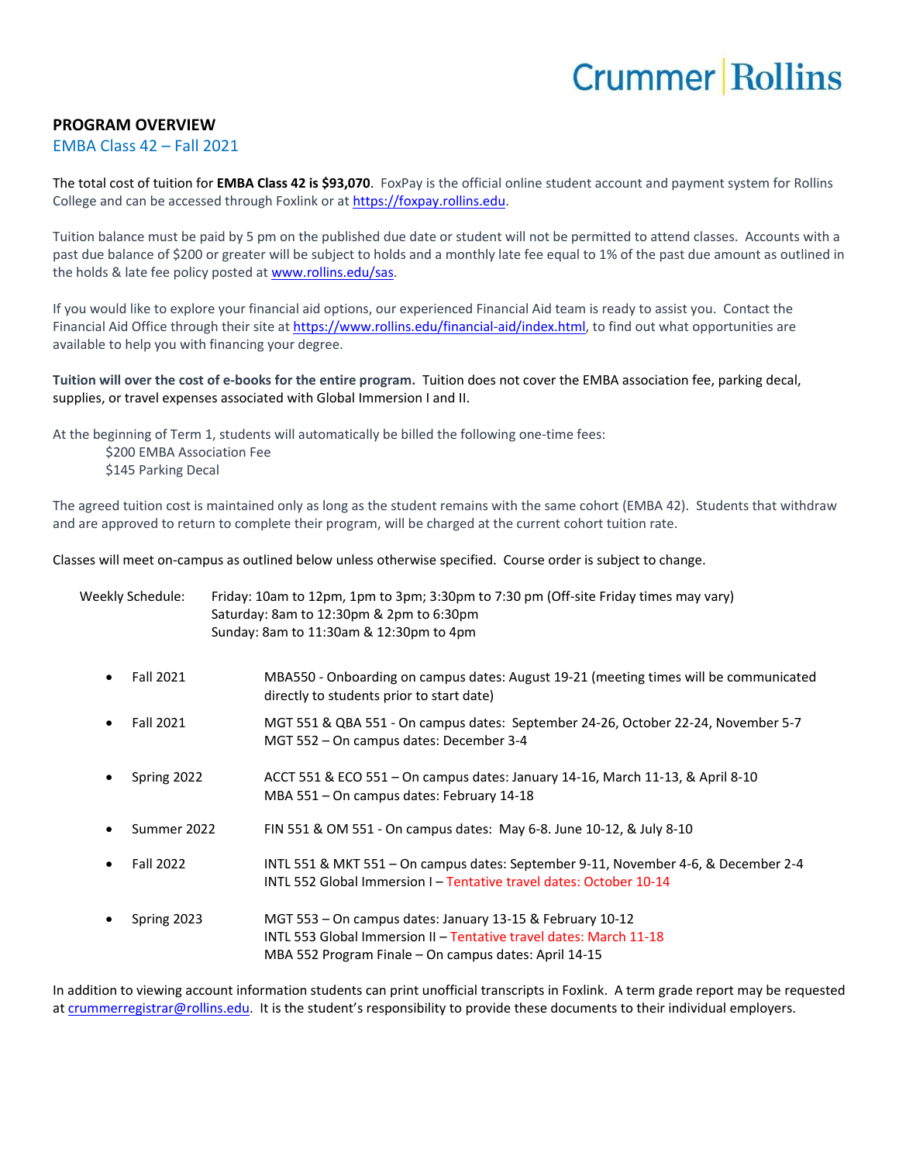## **Crummer Rollins**

## **PROGRAM OVERVIEW**

## EMBA Class 42 – Fall 2021

The total cost of tuition for **EMBA Class 42 is \$93,070**. FoxPay is the official online student account and payment system for Rollins College and can be accessed through Foxlink or a[t https://foxpay.rollins.edu.](https://foxpay.rollins.edu/)

Tuition balance must be paid by 5 pm on the published due date or student will not be permitted to attend classes. Accounts with a past due balance of \$200 or greater will be subject to holds and a monthly late fee equal to 1% of the past due amount as outlined in the holds & late fee policy posted at [www.rollins.edu/sas.](http://www.rollins.edu/sas)

If you would like to explore your financial aid options, our experienced Financial Aid team is ready to assist you. Contact the Financial Aid Office through their site at [https://www.rollins.edu/financial-aid/index.html,](https://www.rollins.edu/financial-aid/index.html) to find out what opportunities are available to help you with financing your degree.

**Tuition will over the cost of e-books for the entire program.** Tuition does not cover the EMBA association fee, parking decal, supplies, or travel expenses associated with Global Immersion I and II.

At the beginning of Term 1, students will automatically be billed the following one-time fees:

\$200 EMBA Association Fee

\$145 Parking Decal

The agreed tuition cost is maintained only as long as the student remains with the same cohort (EMBA 42). Students that withdraw and are approved to return to complete their program, will be charged at the current cohort tuition rate.

Classes will meet on-campus as outlined below unless otherwise specified. Course order is subject to change.

| Weekly Schedule: | Friday: 10am to 12pm, 1pm to 3pm; 3:30pm to 7:30 pm (Off-site Friday times may vary)<br>Saturday: 8am to 12:30pm & 2pm to 6:30pm<br>Sunday: 8am to 11:30am & 12:30pm to 4pm              |
|------------------|------------------------------------------------------------------------------------------------------------------------------------------------------------------------------------------|
| Fall 2021        | MBA550 - Onboarding on campus dates: August 19-21 (meeting times will be communicated                                                                                                    |
| $\bullet$        | directly to students prior to start date)                                                                                                                                                |
| Fall 2021        | MGT 551 & QBA 551 - On campus dates: September 24-26, October 22-24, November 5-7                                                                                                        |
| $\bullet$        | MGT 552 - On campus dates: December 3-4                                                                                                                                                  |
| Spring 2022      | ACCT 551 & ECO 551 - On campus dates: January 14-16, March 11-13, & April 8-10                                                                                                           |
| $\bullet$        | MBA 551 - On campus dates: February 14-18                                                                                                                                                |
| Summer 2022      | FIN 551 & OM 551 - On campus dates: May 6-8. June 10-12, & July 8-10                                                                                                                     |
| <b>Fall 2022</b> | INTL 551 & MKT 551 - On campus dates: September 9-11, November 4-6, & December 2-4                                                                                                       |
| $\bullet$        | INTL 552 Global Immersion I - Tentative travel dates: October 10-14                                                                                                                      |
| Spring 2023      | MGT 553 - On campus dates: January 13-15 & February 10-12<br>INTL 553 Global Immersion II - Tentative travel dates: March 11-18<br>MBA 552 Program Finale – On campus dates: April 14-15 |

In addition to viewing account information students can print unofficial transcripts in Foxlink. A term grade report may be requested a[t crummerregistrar@rollins.edu](mailto:crummerregistrar@rollins.edu). It is the student's responsibility to provide these documents to their individual employers.